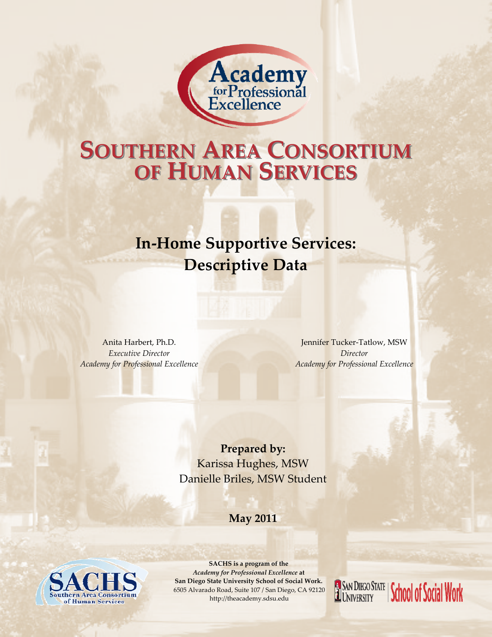

## **OF HUMAN SERVICES ERVICES SOUTHERN AREA CONSORTIUM**

## **In‐Home Supportive Services: Descriptive Data**

Anita Harbert, Ph.D. *Executive Director Academy for Professional Excellence*

Jennifer Tucker‐Tatlow, MSW *Director Academy for Professional Excellence*

**Prepared by:** Karissa Hughes, MSW Danielle Briles, MSW Student

#### **May 2011**



**SACHS is a program of the**  *Academy for Professional Excellence* **at San Diego State University School of Social Work.** 6505 Alvarado Road, Suite 107 / San Diego, CA 92120 http://theacademy.sdsu.edu

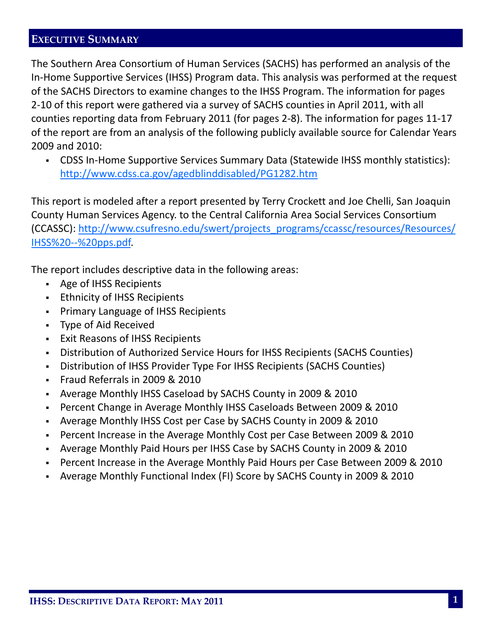#### **EXECUTIVE SUMMARY**

The Southern Area Consortium of Human Services (SACHS) has performed an analysis of the In‐Home Supportive Services (IHSS) Program data. This analysis was performed at the request of the SACHS Directors to examine changes to the IHSS Program. The information for pages 2‐10 of this report were gathered via a survey of SACHS counties in April 2011, with all counties reporting data from February 2011 (for pages 2‐8). The information for pages 11‐17 of the report are from an analysis of the following publicly available source for Calendar Years 2009 and 2010:

 CDSS In‐Home Supportive Services Summary Data (Statewide IHSS monthly statistics): http://www.cdss.ca.gov/agedblinddisabled/PG1282.htm

This report is modeled after a report presented by Terry Crockett and Joe Chelli, San Joaquin County Human Services Agency. to the Central California Area Social Services Consortium (CCASSC): http://www.csufresno.edu/swert/projects\_programs/ccassc/resources/Resources/ IHSS%20‐‐%20pps.pdf.

The report includes descriptive data in the following areas:

- Age of IHSS Recipients
- **Ethnicity of IHSS Recipients**
- Primary Language of IHSS Recipients
- Type of Aid Received
- Exit Reasons of IHSS Recipients
- Distribution of Authorized Service Hours for IHSS Recipients (SACHS Counties)
- Distribution of IHSS Provider Type For IHSS Recipients (SACHS Counties)
- Fraud Referrals in 2009 & 2010
- Average Monthly IHSS Caseload by SACHS County in 2009 & 2010
- Percent Change in Average Monthly IHSS Caseloads Between 2009 & 2010
- Average Monthly IHSS Cost per Case by SACHS County in 2009 & 2010
- Percent Increase in the Average Monthly Cost per Case Between 2009 & 2010
- Average Monthly Paid Hours per IHSS Case by SACHS County in 2009 & 2010
- Percent Increase in the Average Monthly Paid Hours per Case Between 2009 & 2010
- Average Monthly Functional Index (FI) Score by SACHS County in 2009 & 2010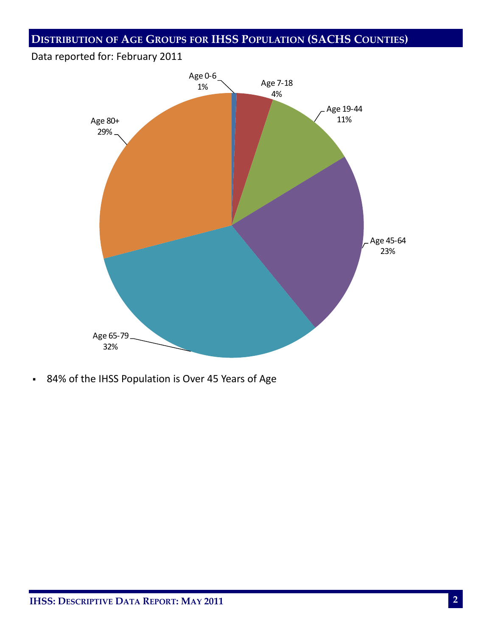### **DISTRIBUTION OF AGE GROUPS FOR IHSS POPULATION (SACHS COUNTIES)**

#### Data reported for: February 2011



84% of the IHSS Population is Over 45 Years of Age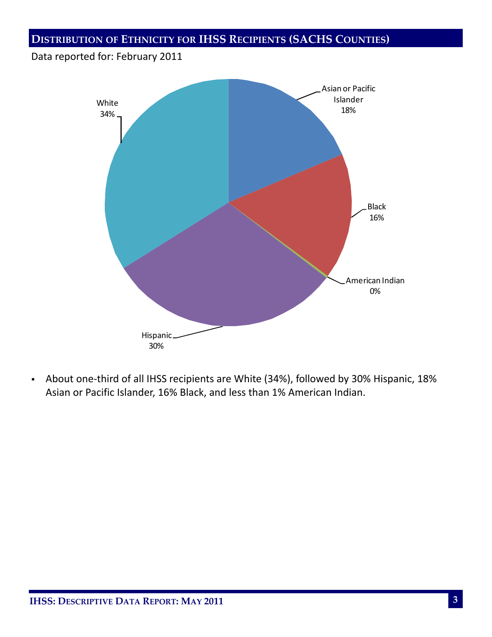**DISTRIBUTION OF ETHNICITY FOR IHSS RECIPIENTS (SACHS COUNTIES)**

#### Data reported for: February 2011



 About one‐third of all IHSS recipients are White (34%), followed by 30% Hispanic, 18% Asian or Pacific Islander, 16% Black, and less than 1% American Indian.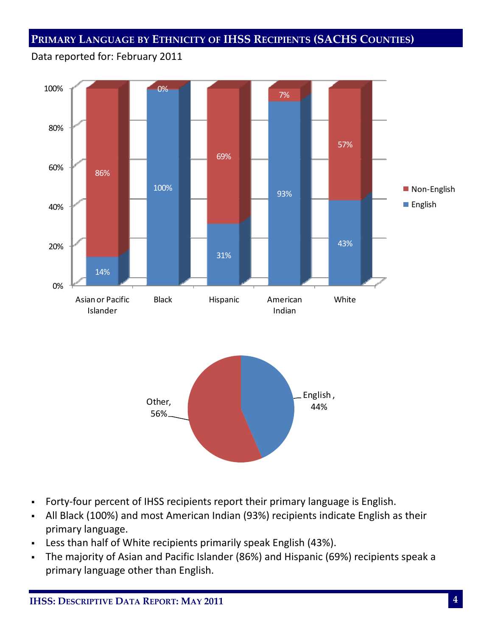#### **PRIMARY LANGUAGE BY ETHNICITY OF IHSS RECIPIENTS (SACHS COUNTIES)**

#### Data reported for: February 2011



- Forty-four percent of IHSS recipients report their primary language is English.
- All Black (100%) and most American Indian (93%) recipients indicate English as their primary language.
- Less than half of White recipients primarily speak English (43%).
- The majority of Asian and Pacific Islander (86%) and Hispanic (69%) recipients speak a primary language other than English.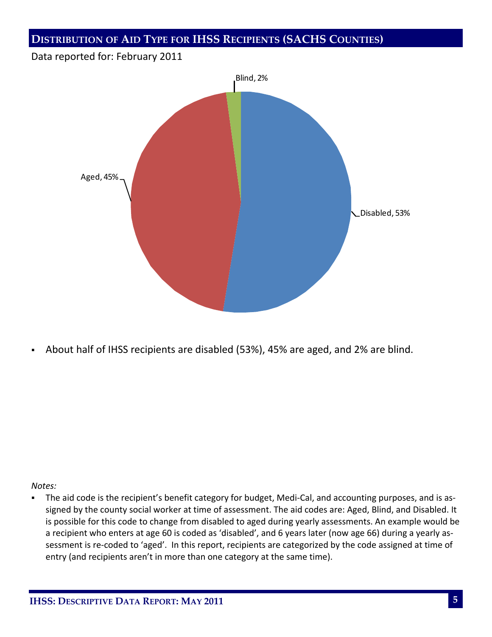#### **DISTRIBUTION OF AID TYPE FOR IHSS RECIPIENTS (SACHS COUNTIES)**

#### Data reported for: February 2011



About half of IHSS recipients are disabled (53%), 45% are aged, and 2% are blind.

#### *Notes:*

■ The aid code is the recipient's benefit category for budget, Medi-Cal, and accounting purposes, and is assigned by the county social worker at time of assessment. The aid codes are: Aged, Blind, and Disabled. It is possible for this code to change from disabled to aged during yearly assessments. An example would be a recipient who enters at age 60 is coded as 'disabled', and 6 years later (now age 66) during a yearly as‐ sessment is re-coded to 'aged'. In this report, recipients are categorized by the code assigned at time of entry (and recipients aren't in more than one category at the same time).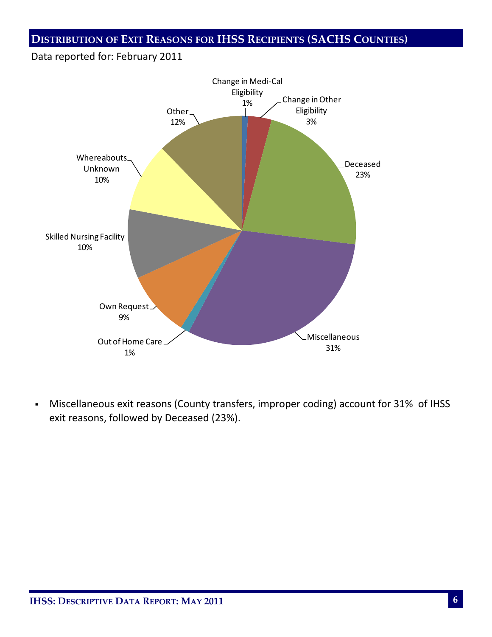#### **DISTRIBUTION OF EXIT REASONS FOR IHSS RECIPIENTS (SACHS COUNTIES)**

#### Data reported for: February 2011



 Miscellaneous exit reasons (County transfers, improper coding) account for 31% of IHSS exit reasons, followed by Deceased (23%).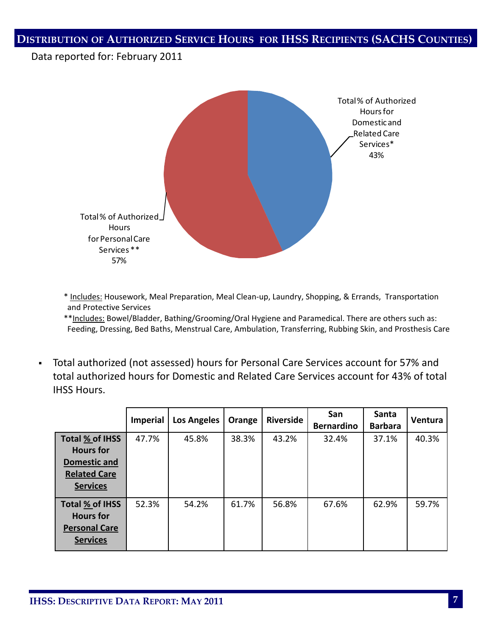#### **DISTRIBUTION OF AUTHORIZED SERVICE HOURS FOR IHSS RECIPIENTS (SACHS COUNTIES)**

#### Data reported for: February 2011



\* Includes: Housework, Meal Preparation, Meal Clean‐up, Laundry, Shopping, & Errands, Transportation and Protective Services

\*\*Includes: Bowel/Bladder, Bathing/Grooming/Oral Hygiene and Paramedical. There are others such as: Feeding, Dressing, Bed Baths, Menstrual Care, Ambulation, Transferring, Rubbing Skin, and Prosthesis Care

 Total authorized (not assessed) hours for Personal Care Services account for 57% and total authorized hours for Domestic and Related Care Services account for 43% of total IHSS Hours.

|                                                                                               | <b>Imperial</b> | <b>Los Angeles</b> | Orange | <b>Riverside</b> | San<br><b>Bernardino</b> | Santa<br><b>Barbara</b> | Ventura |
|-----------------------------------------------------------------------------------------------|-----------------|--------------------|--------|------------------|--------------------------|-------------------------|---------|
| Total % of IHSS<br><b>Hours</b> for<br>Domestic and<br><b>Related Care</b><br><b>Services</b> | 47.7%           | 45.8%              | 38.3%  | 43.2%            | 32.4%                    | 37.1%                   | 40.3%   |
| Total % of IHSS<br><b>Hours</b> for<br><b>Personal Care</b><br><b>Services</b>                | 52.3%           | 54.2%              | 61.7%  | 56.8%            | 67.6%                    | 62.9%                   | 59.7%   |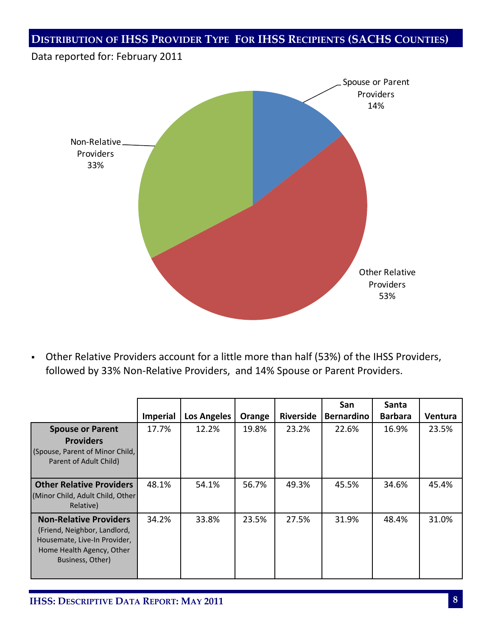### **DISTRIBUTION OF IHSS PROVIDER TYPE FOR IHSS RECIPIENTS (SACHS COUNTIES)**

# Data reported for: February 2011 Spouse or Parent Providers 14% Other Relative Providers 53% Non‐Relative Providers 33%

 Other Relative Providers account for a little more than half (53%) of the IHSS Providers, followed by 33% Non‐Relative Providers, and 14% Spouse or Parent Providers.

|                                   |                 |                    |        |                  | San               | Santa          |         |
|-----------------------------------|-----------------|--------------------|--------|------------------|-------------------|----------------|---------|
|                                   | <b>Imperial</b> | <b>Los Angeles</b> | Orange | <b>Riverside</b> | <b>Bernardino</b> | <b>Barbara</b> | Ventura |
| <b>Spouse or Parent</b>           | 17.7%           | 12.2%              | 19.8%  | 23.2%            | 22.6%             | 16.9%          | 23.5%   |
| <b>Providers</b>                  |                 |                    |        |                  |                   |                |         |
| (Spouse, Parent of Minor Child,   |                 |                    |        |                  |                   |                |         |
| Parent of Adult Child)            |                 |                    |        |                  |                   |                |         |
|                                   |                 |                    |        |                  |                   |                |         |
| <b>Other Relative Providers</b>   | 48.1%           | 54.1%              | 56.7%  | 49.3%            | 45.5%             | 34.6%          | 45.4%   |
| (Minor Child, Adult Child, Other) |                 |                    |        |                  |                   |                |         |
| Relative)                         |                 |                    |        |                  |                   |                |         |
| <b>Non-Relative Providers</b>     | 34.2%           | 33.8%              | 23.5%  | 27.5%            | 31.9%             | 48.4%          | 31.0%   |
| (Friend, Neighbor, Landlord,      |                 |                    |        |                  |                   |                |         |
| Housemate, Live-In Provider,      |                 |                    |        |                  |                   |                |         |
| Home Health Agency, Other         |                 |                    |        |                  |                   |                |         |
| Business, Other)                  |                 |                    |        |                  |                   |                |         |
|                                   |                 |                    |        |                  |                   |                |         |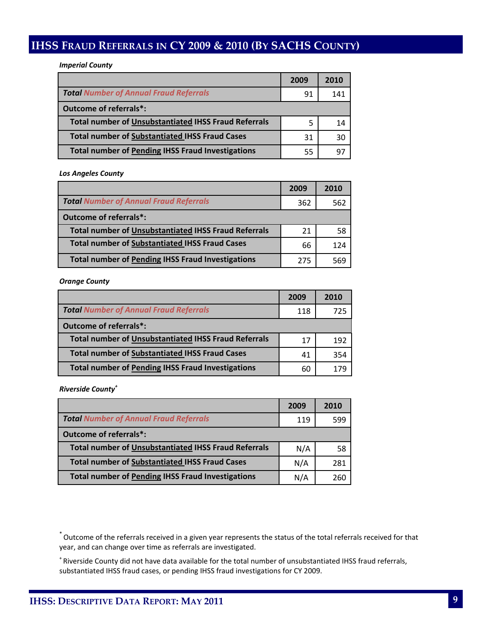#### **IHSS FRAUD REFERRALS IN CY 2009 & 2010 (BY SACHS COUNTY)**

*Imperial County*

|                                                             | 2009 | 2010 |
|-------------------------------------------------------------|------|------|
| <b>Total Number of Annual Fraud Referrals</b>               | 91   | 141  |
| Outcome of referrals*:                                      |      |      |
| <b>Total number of Unsubstantiated IHSS Fraud Referrals</b> | 5    | 14   |
| <b>Total number of Substantiated IHSS Fraud Cases</b>       | 31   | 30   |
| <b>Total number of Pending IHSS Fraud Investigations</b>    | 55   | 97   |

*Los Angeles County*

|                                                             | 2009 | 2010 |
|-------------------------------------------------------------|------|------|
| <b>Total Number of Annual Fraud Referrals</b>               | 362  | 562  |
| Outcome of referrals*:                                      |      |      |
| <b>Total number of Unsubstantiated IHSS Fraud Referrals</b> | 21   | 58   |
| <b>Total number of Substantiated IHSS Fraud Cases</b>       | 66   | 124  |
| <b>Total number of Pending IHSS Fraud Investigations</b>    | 275  |      |

*Orange County*

|                                                             | 2009 | 2010 |
|-------------------------------------------------------------|------|------|
| <b>Total Number of Annual Fraud Referrals</b>               | 118  | 725  |
| Outcome of referrals*:                                      |      |      |
| <b>Total number of Unsubstantiated IHSS Fraud Referrals</b> | 17   | 192  |
| <b>Total number of Substantiated IHSS Fraud Cases</b>       | 41   | 354  |
| <b>Total number of Pending IHSS Fraud Investigations</b>    | 60   | 179  |

*Riverside County<sup>+</sup>*

|                                                             | 2009 | 2010 |
|-------------------------------------------------------------|------|------|
| <b>Total Number of Annual Fraud Referrals</b>               | 119  | 599  |
| Outcome of referrals*:                                      |      |      |
| <b>Total number of Unsubstantiated IHSS Fraud Referrals</b> | N/A  | 58   |
| <b>Total number of Substantiated IHSS Fraud Cases</b>       | N/A  | 281  |
| <b>Total number of Pending IHSS Fraud Investigations</b>    | N/A  | 260  |

\*Outcome of the referrals received in a given year represents the status of the total referrals received for that year, and can change over time as referrals are investigated.

+ Riverside County did not have data available for the total number of unsubstantiated IHSS fraud referrals, substantiated IHSS fraud cases, or pending IHSS fraud investigations for CY 2009.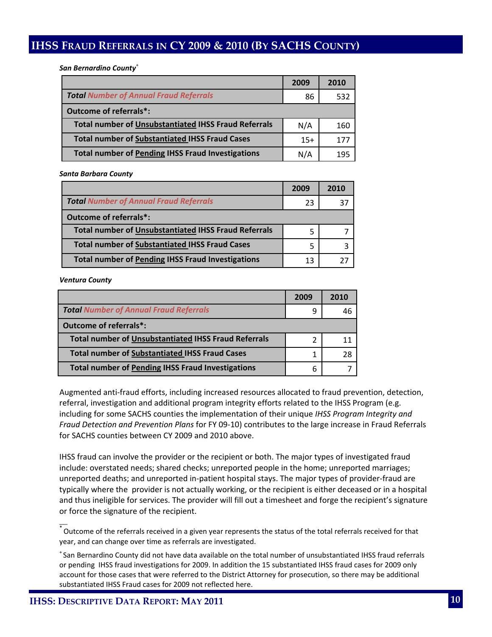#### **IHSS FRAUD REFERRALS IN CY 2009 & 2010 (BY SACHS COUNTY)**

*San Bernardino County*<sup>+</sup>

|                                                             | 2009  | 2010 |
|-------------------------------------------------------------|-------|------|
| <b>Total Number of Annual Fraud Referrals</b>               | 86    | 532  |
| Outcome of referrals*:                                      |       |      |
| <b>Total number of Unsubstantiated IHSS Fraud Referrals</b> | N/A   | 160  |
| <b>Total number of Substantiated IHSS Fraud Cases</b>       | $15+$ | 177  |
| <b>Total number of Pending IHSS Fraud Investigations</b>    | N/A   | 195  |

*Santa Barbara County*

|                                                             | 2009 | 2010 |
|-------------------------------------------------------------|------|------|
| <b>Total Number of Annual Fraud Referrals</b>               | 23   | 37   |
| Outcome of referrals*:                                      |      |      |
| <b>Total number of Unsubstantiated IHSS Fraud Referrals</b> | 5    |      |
| <b>Total number of Substantiated IHSS Fraud Cases</b>       | 5    |      |
| <b>Total number of Pending IHSS Fraud Investigations</b>    | 13   |      |

*Ventura County* 

 $\overline{\phantom{a}}$ 

|                                                             | 2009 | 2010 |
|-------------------------------------------------------------|------|------|
| <b>Total Number of Annual Fraud Referrals</b>               | 9    |      |
| Outcome of referrals*:                                      |      |      |
| <b>Total number of Unsubstantiated IHSS Fraud Referrals</b> | 2    |      |
| <b>Total number of Substantiated IHSS Fraud Cases</b>       |      | 28   |
| <b>Total number of Pending IHSS Fraud Investigations</b>    | 6    |      |

Augmented anti‐fraud efforts, including increased resources allocated to fraud prevention, detection, referral, investigation and additional program integrity efforts related to the IHSS Program (e.g. including for some SACHS counties the implementation of their unique *IHSS Program Integrity and Fraud Detection and Prevention Plans* for FY 09‐10) contributes to the large increase in Fraud Referrals for SACHS counties between CY 2009 and 2010 above.

IHSS fraud can involve the provider or the recipient or both. The major types of investigated fraud include: overstated needs; shared checks; unreported people in the home; unreported marriages; unreported deaths; and unreported in‐patient hospital stays. The major types of provider‐fraud are typically where the provider is not actually working, or the recipient is either deceased or in a hospital and thus ineligible for services. The provider will fill out a timesheet and forge the recipient's signature or force the signature of the recipient.

 $^{*}$  Outcome of the referrals received in a given year represents the status of the total referrals received for that year, and can change over time as referrals are investigated.

+ San Bernardino County did not have data available on the total number of unsubstantiated IHSS fraud referrals or pending IHSS fraud investigations for 2009. In addition the 15 substantiated IHSS fraud cases for 2009 only account for those cases that were referred to the District Attorney for prosecution, so there may be additional substantiated IHSS Fraud cases for 2009 not reflected here.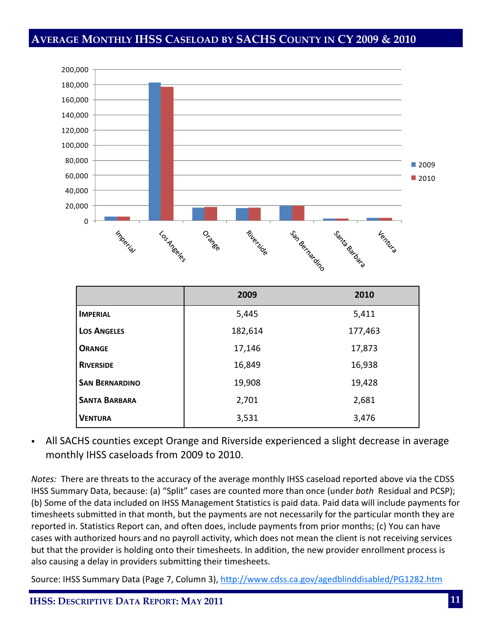#### **AVERAGE MONTHLY IHSS CASELOAD BY SACHS COUNTY IN CY 2009 & 2010**



|                       | 2009    | 2010    |
|-----------------------|---------|---------|
| <b>IMPERIAL</b>       | 5,445   | 5,411   |
| <b>LOS ANGELES</b>    | 182,614 | 177,463 |
| <b>ORANGE</b>         | 17,146  | 17,873  |
| <b>RIVERSIDE</b>      | 16,849  | 16,938  |
| <b>SAN BERNARDINO</b> | 19,908  | 19,428  |
| <b>SANTA BARBARA</b>  | 2,701   | 2,681   |
| <b>VENTURA</b>        | 3,531   | 3,476   |

 All SACHS counties except Orange and Riverside experienced a slight decrease in average monthly IHSS caseloads from 2009 to 2010.

*Notes:* There are threats to the accuracy of the average monthly IHSS caseload reported above via the CDSS IHSS Summary Data, because: (a) "Split" cases are counted more than once (under *both* Residual and PCSP); (b) Some of the data included on IHSS Management Statistics is paid data. Paid data will include payments for timesheets submitted in that month, but the payments are not necessarily for the particular month they are reported in. Statistics Report can, and often does, include payments from prior months; (c) You can have cases with authorized hours and no payroll activity, which does not mean the client is not receiving services but that the provider is holding onto their timesheets. In addition, the new provider enrollment process is also causing a delay in providers submitting their timesheets.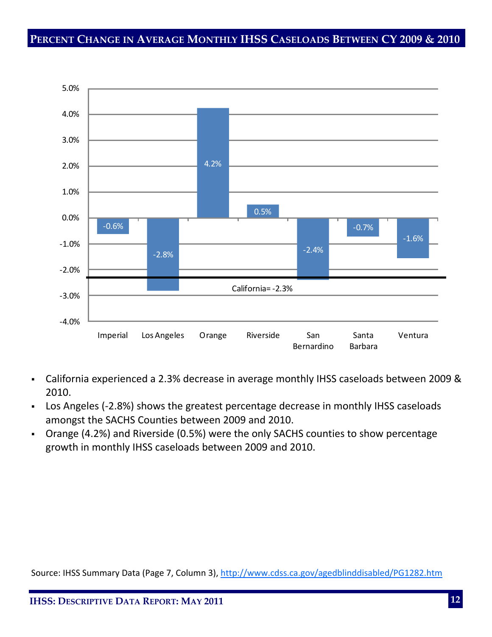#### **PERCENT CHANGE IN AVERAGE MONTHLY IHSS CASELOADS BETWEEN CY 2009 & 2010**



- California experienced a 2.3% decrease in average monthly IHSS caseloads between 2009 & 2010.
- Los Angeles (-2.8%) shows the greatest percentage decrease in monthly IHSS caseloads amongst the SACHS Counties between 2009 and 2010.
- Orange (4.2%) and Riverside (0.5%) were the only SACHS counties to show percentage growth in monthly IHSS caseloads between 2009 and 2010.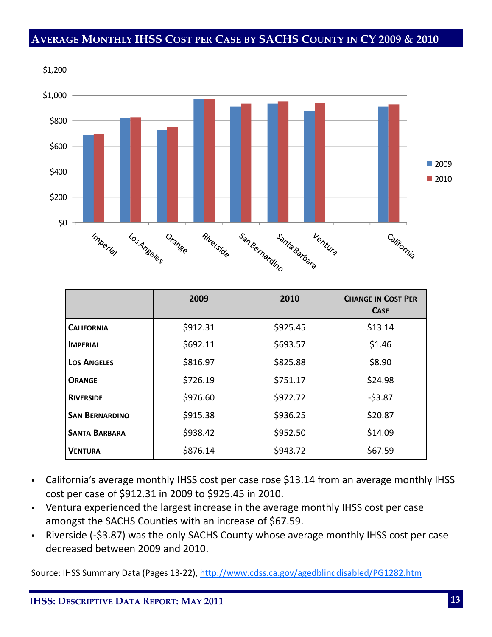#### **AVERAGE MONTHLY IHSS COST PER CASE BY SACHS COUNTY IN CY 2009 & 2010**



|                       | 2009     | 2010     | <b>CHANGE IN COST PER</b><br><b>CASE</b> |
|-----------------------|----------|----------|------------------------------------------|
| <b>CALIFORNIA</b>     | \$912.31 | \$925.45 | \$13.14                                  |
| <b>IMPERIAL</b>       | \$692.11 | \$693.57 | \$1.46                                   |
| <b>LOS ANGELES</b>    | \$816.97 | \$825.88 | \$8.90                                   |
| <b>ORANGE</b>         | \$726.19 | \$751.17 | \$24.98                                  |
| <b>RIVERSIDE</b>      | \$976.60 | \$972.72 | $-53.87$                                 |
| <b>SAN BERNARDINO</b> | \$915.38 | \$936.25 | \$20.87                                  |
| <b>SANTA BARBARA</b>  | \$938.42 | \$952.50 | \$14.09                                  |
| <b>VENTURA</b>        | \$876.14 | \$943.72 | \$67.59                                  |

- California's average monthly IHSS cost per case rose \$13.14 from an average monthly IHSS cost per case of \$912.31 in 2009 to \$925.45 in 2010.
- Ventura experienced the largest increase in the average monthly IHSS cost per case amongst the SACHS Counties with an increase of \$67.59.
- Riverside (-\$3.87) was the only SACHS County whose average monthly IHSS cost per case decreased between 2009 and 2010.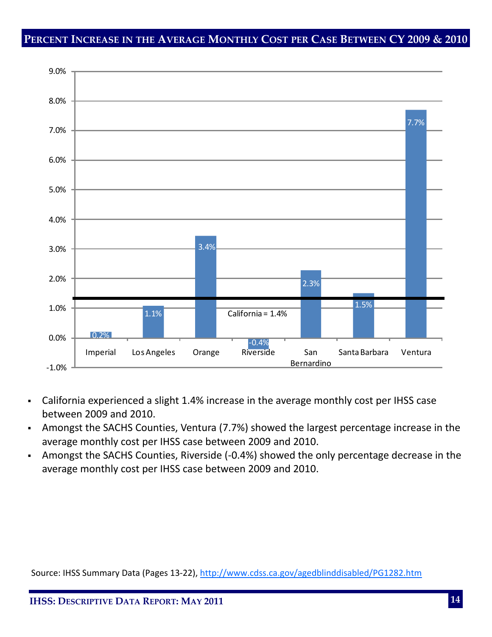#### **PERCENT INCREASE IN THE AVERAGE MONTHLY COST PER CASE BETWEEN CY 2009 & 2010**



- California experienced a slight 1.4% increase in the average monthly cost per IHSS case between 2009 and 2010.
- Amongst the SACHS Counties, Ventura (7.7%) showed the largest percentage increase in the average monthly cost per IHSS case between 2009 and 2010.
- Amongst the SACHS Counties, Riverside (‐0.4%) showed the only percentage decrease in the average monthly cost per IHSS case between 2009 and 2010.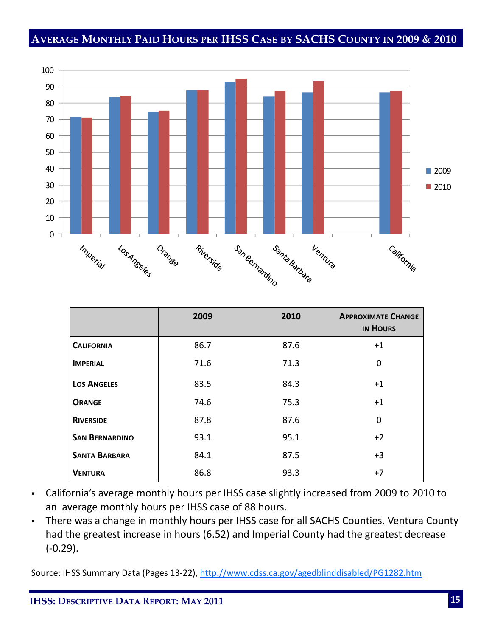#### **AVERAGE MONTHLY PAID HOURS PER IHSS CASE BY SACHS COUNTY IN 2009 & 2010**



|                       | 2009 | 2010 | <b>APPROXIMATE CHANGE</b><br><b>IN HOURS</b> |
|-----------------------|------|------|----------------------------------------------|
| <b>CALIFORNIA</b>     | 86.7 | 87.6 | $+1$                                         |
| <b>IMPERIAL</b>       | 71.6 | 71.3 | $\Omega$                                     |
| <b>LOS ANGELES</b>    | 83.5 | 84.3 | $+1$                                         |
| <b>ORANGE</b>         | 74.6 | 75.3 | $+1$                                         |
| <b>RIVERSIDE</b>      | 87.8 | 87.6 | 0                                            |
| <b>SAN BERNARDINO</b> | 93.1 | 95.1 | $+2$                                         |
| <b>SANTA BARBARA</b>  | 84.1 | 87.5 | $+3$                                         |
| <b>VENTURA</b>        | 86.8 | 93.3 | $+7$                                         |

- California's average monthly hours per IHSS case slightly increased from 2009 to 2010 to an average monthly hours per IHSS case of 88 hours.
- There was a change in monthly hours per IHSS case for all SACHS Counties. Ventura County had the greatest increase in hours (6.52) and Imperial County had the greatest decrease (‐0.29).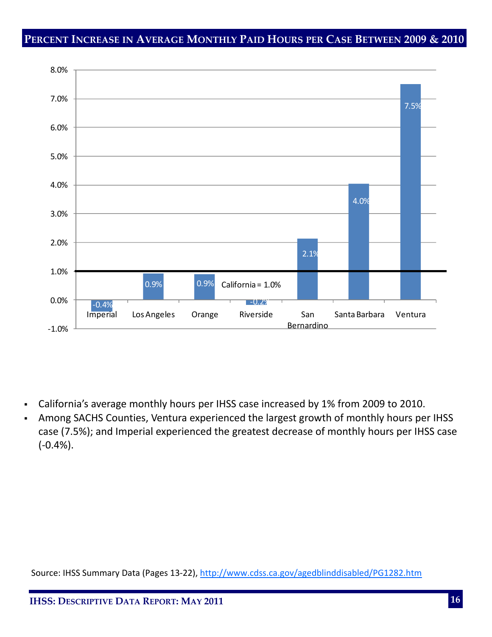#### **PERCENT INCREASE IN AVERAGE MONTHLY PAID HOURS PER CASE BETWEEN 2009 & 2010**



- California's average monthly hours per IHSS case increased by 1% from 2009 to 2010.
- Among SACHS Counties, Ventura experienced the largest growth of monthly hours per IHSS case (7.5%); and Imperial experienced the greatest decrease of monthly hours per IHSS case (‐0.4%).